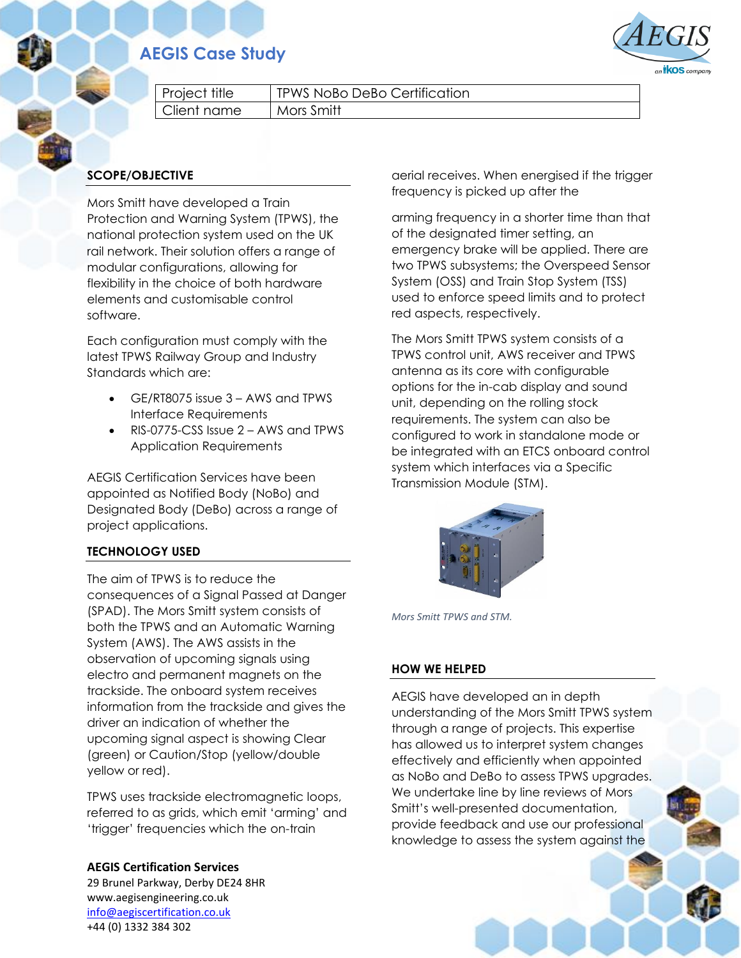# **AEGIS Case Study**



Project title | TPWS NoBo DeBo Certification Client name | Mors Smitt

## **SCOPE/OBJECTIVE**

Mors Smitt have developed a Train Protection and Warning System (TPWS), the national protection system used on the UK rail network. Their solution offers a range of modular configurations, allowing for flexibility in the choice of both hardware elements and customisable control software.

Each configuration must comply with the latest TPWS Railway Group and Industry Standards which are:

- GE/RT8075 issue 3 AWS and TPWS Interface Requirements
- RIS-0775-CSS Issue 2 AWS and TPWS Application Requirements

AEGIS Certification Services have been appointed as Notified Body (NoBo) and Designated Body (DeBo) across a range of project applications.

### **TECHNOLOGY USED**

The aim of TPWS is to reduce the consequences of a Signal Passed at Danger (SPAD). The Mors Smitt system consists of both the TPWS and an Automatic Warning System (AWS). The AWS assists in the observation of upcoming signals using electro and permanent magnets on the trackside. The onboard system receives information from the trackside and gives the driver an indication of whether the upcoming signal aspect is showing Clear (green) or Caution/Stop (yellow/double yellow or red).

TPWS uses trackside electromagnetic loops, referred to as grids, which emit 'arming' and 'trigger' frequencies which the on-train

**AEGIS Certification Services** 29 Brunel Parkway, Derby DE24 8HR www.aegisengineering.co.uk [info@aegiscertification.co.uk](mailto:info@aegiscertification.co.uk) +44 (0) 1332 384 302

aerial receives. When energised if the trigger frequency is picked up after the

arming frequency in a shorter time than that of the designated timer setting, an emergency brake will be applied. There are two TPWS subsystems; the Overspeed Sensor System (OSS) and Train Stop System (TSS) used to enforce speed limits and to protect red aspects, respectively.

The Mors Smitt TPWS system consists of a TPWS control unit, AWS receiver and TPWS antenna as its core with configurable options for the in-cab display and sound unit, depending on the rolling stock requirements. The system can also be configured to work in standalone mode or be integrated with an ETCS onboard control system which interfaces via a Specific Transmission Module (STM).



*Mors Smitt TPWS and STM.*

#### **HOW WE HELPED**

AEGIS have developed an in depth understanding of the Mors Smitt TPWS system through a range of projects. This expertise has allowed us to interpret system changes effectively and efficiently when appointed as NoBo and DeBo to assess TPWS upgrades. We undertake line by line reviews of Mors Smitt's well-presented documentation, provide feedback and use our professional knowledge to assess the system against the